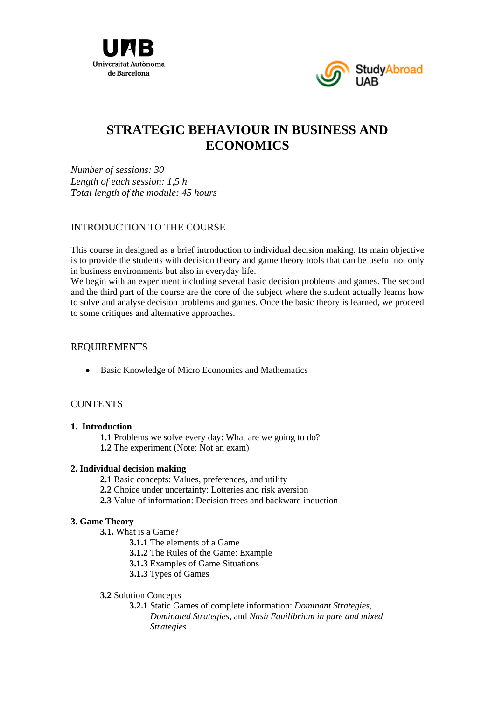



# **STRATEGIC BEHAVIOUR IN BUSINESS AND ECONOMICS**

*Number of sessions: 30 Length of each session: 1,5 h Total length of the module: 45 hours* 

## INTRODUCTION TO THE COURSE

This course in designed as a brief introduction to individual decision making. Its main objective is to provide the students with decision theory and game theory tools that can be useful not only in business environments but also in everyday life.

We begin with an experiment including several basic decision problems and games. The second and the third part of the course are the core of the subject where the student actually learns how to solve and analyse decision problems and games. Once the basic theory is learned, we proceed to some critiques and alternative approaches.

### REQUIREMENTS

Basic Knowledge of Micro Economics and Mathematics

## **CONTENTS**

#### **1. Introduction**

**1.1** Problems we solve every day: What are we going to do?  **1.2** The experiment (Note: Not an exam)

#### **2. Individual decision making**

- **2.1** Basic concepts: Values, preferences, and utility
- **2.2** Choice under uncertainty: Lotteries and risk aversion
- **2.3** Value of information: Decision trees and backward induction

#### **3. Game Theory**

- **3.1.** What is a Game?
	- **3.1.1** The elements of a Game
	- **3.1.2** The Rules of the Game: Example
	- **3.1.3** Examples of Game Situations
	- **3.1.3** Types of Games

#### **3.2** Solution Concepts

 **3.2.1** Static Games of complete information: *Dominant Strategies, Dominated Strategies,* and *Nash Equilibrium in pure and mixed Strategies*